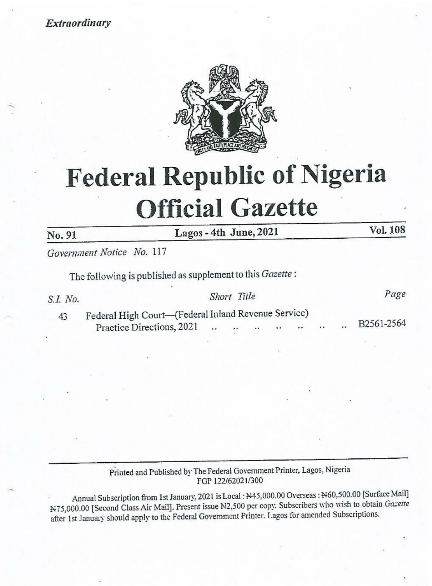Extraordinary



## Federal Republic of Nigeria **Official Gazette** Federal Repul<br>
Official<br>
No. 91 Lagos - 4th<br>
Government Notice No. 117<br>
The following is published as supplement<br>
S.I. No. Shor<br>
Practice Directions, 2021

No. 91 Lagos - 4th June, 2021 Vol. 108

Government Notice No. 117

The following is published as supplement to this Gazette :

| S.I. No. |                                                     |  | Short Title |  |  |  |                      |  | Page       |
|----------|-----------------------------------------------------|--|-------------|--|--|--|----------------------|--|------------|
| 43       | Federal High Court—(Federal Inland Revenue Service) |  |             |  |  |  |                      |  |            |
|          | Practice Directions, 2021                           |  |             |  |  |  | $\ddot{\phantom{1}}$ |  | B2561-2564 |

## Printed and Published by The Federal Government Printer, Lagos, Nigeria FGP 122/62021/300

For 1227<br>
lanuary, 2021 is Lo<br>
Present issue N2<br>
Federal Governm Annual Subscription from 1st January, 2021 is Local : N45,000.00 Overseas : N60,500.00 [Surface Mail] Annual Subscription Hold 1st January. 2021 B. Boom 11 (1990) of Class Air Mail]. Present issue N2,500 per copy. Subscribers who wish to obtain Gazette afier Ist January should apply to the Federal Government Printer. Lagos for amended Subscriptions.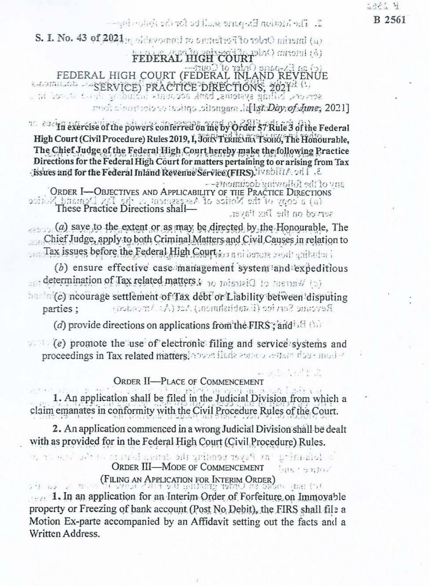2321 N B 2561

 $\mathbb{Z}$ . The highpin Ex-none similated for its follow from

S. I. No. 43 of  $2021$ <sub>20</sub> of devorout to putted to The telecomputer (a) FEDERAL HIGH COURT FEDERAL HIGH COURT (FEDERAL INLAND REVENUE e transicion es SERVICE) PRACTICE DIRECTIÓNS, 2021/1 (1)

mot cinemate to isolige citengent id let Day of June, 2021]

<sup>16</sup> 23/17 exercise of the powers conferred on me by Order 57 Rule 3 of the Federal High Court (Civil Procedure) Rules 2019, I, JOIN TERHEMENT SOHO, The Honourable, The Chief Judge of the Federal High Court hereby make the following Practice Directions for the Federal High Court for matters pertaining to or arising from Tax dissues and for the Federal Inland Revenue Service (FIRS), iv shift A and J. S.

any of the following documents --

ORDER I-OBJECTIVES AND APPLICABILITY OF THE PRACTICE DIRECTIONS (a) a copy of the Notice of Assessment a dig Tax Demand Notice served on the Day Payer.

 $(a)$  save to the extent or as may be directed by the Honourable. The Chief Judge, apply to both Criminal Matters and Civil Causes in relation to Tax issues before the Federal High Court is a ni before agoit anitudar

(b) ensure effective case management system and expeditious and determination of Tax related matters & 30 missivi (10 mens W (3) hadn(c) neourage settlement of Tax debt or Liability between disputing Revenue Service (Establishment) Act (As Amended) parties;

(d) provide directions on applications from the FIRS; and  $E(S)$ 

 $\sqrt{e}$  promote the use of electronic filing and service systems and proceedings in Tax related matters. Answer flads assets a capacities and a

ORDER II-PLACE OF COMMENCEMENT

1. An application shall be filed in the Judicial Division from which a claim emanates in conformity with the Civil Procedure Rules of the Court.

2. An application commenced in a wrong Judicial Division shall be dealt with as provided for in the Federal High Court (Civil Procedure) Rules.

is totalistical in Psycreticial detailed and interest of the second **ORDER III-MODE OF COMMENCEMENT** ban sam (FILING AN APPLICATION FOR INTERIM ORDER)

te svera salta en Orden grafing de Ent's tens of 1. In an application for an Interim Order of Forfeiture on Immovable property or Freezing of bank account (Post No Debit), the FIRS shall file a Motion Ex-parte accompanied by an Affidavit setting out the facts and a Written Address.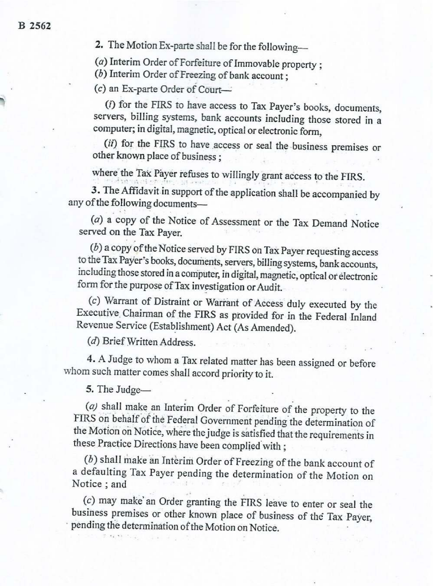2. The Motion Ex-parte shall be for the following-

( $a$ ) Interim Order of Forfeiture of Immovable property ;  $(b)$  Interim Order of Freezing of bank account ;

(c) an Ex-parte Order of Court—

@) for the FIRS to have access to Tax Payer's books, documents, servers, billing systems, bank accounts including those stored in a computer; in digital, magnetic, optical or electronic form,

(ii) for the FIRS to have access or seal the business premises or other known place of business :

where the Tak Payer refuses to willingly grant access to the FIRS.

3. The Affidavit in support of the application shall be accompanied by any of the following documents—

(a) a copy of the Notice of Assessment or the Tax Demand Notice served on the Tax Payer.

( $b$ ) a copy of the Notice served by FIRS on Tax Payer requesting access to the Tax Payer's books, documents, servers, billing systems, bank accounts, including those stored in a computer, in digital, magnetic, optical or

(c) Warrant of Distraint or Wartant of Access duly executed by the Executive. Chairman of the FIRS as provided for in the Federal Inland Revenue Service (Establishment) Act (As Amended).

(d) Brief Written Address.

4. A Judge to whom a Tax related matter has been assigned or before whom such matter comes shall accord priority to it.

5. The Judge—

( $a$ ) shall make an Interim Order of Forfeiture of the property to the FIRS on behalf of the Federal Government pending the determination of the Motion on Notice, where the judge is satisfied that the requirements in thes

( $b$ ) shall make an Interim Order of Freezing of the bank account of a defaulting Tax Payer pending the determination of the Motion on Notice ; and

 $(c)$  may make' an Order granting the FIRS leave to enter or seal the business premises or other known place of business of the Tax Payer, pending the determination of the Motion on Notice.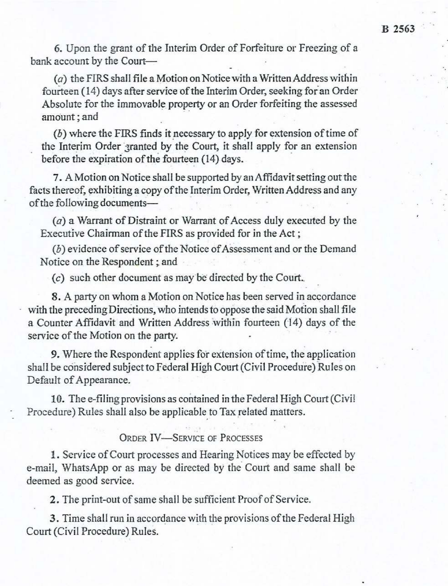6. Upon the grant of the Interim Order of Forfeiture or Freezing of a bank account by the Court-

 $(a)$  the FIRS shall file a Motion on Notice with a Written Address within fourteen (14) days after service of the Interim Order, seeking for an Order Absolute for the immovable property or an Order forfeiting the assessed amount ; and

 $(b)$  where the FIRS finds it necessary to apply for extension of time of the Interim Order 3ranted by the Court, it shall apply for an extension before the expiration of the fourteen (14) days.

7. A Motion on Notice shall be supported by an Affidavit setting out the facts thereof, exhibiting a copy of the Interim Order, Written Address and any of the following documents—

(a) a Warrant of Distraint or Warrant of Access duly executed by the Executive Chairman of the FIRS as provided for in the Act ;

(b) evidence of service of the Notice of Assessment and or the Demand Notice on the Respondent ; and

(c) such other document as may be directed by the Court..

8. A party on whom a Motion on Notice has been served in accordance with the preceding Directions, who intends to oppose the said Motion shall file a Counter Affidavit and Written Address within fourteen (14) days of the service of the Motion on the party.

9, Where the Respondent applies for extension of time, the application shall be considered subject to Federal High Court (Civil Procedure) Rules on Default of Appearance.

10. The e-filing provisions as contained in the Federal High Court (Civil Procedure) Rules shall also be applicable to Tax related matters.

ORDER IV—SERVICE OF PROCESSES

1. Service of Court processes and Hearing Notices may be effected by e-mail, WhatsApp or as may be directed by the Court and same shall be deemed as good service.

2. The print-out of same shall be sufficient Proof of Service.

3. Time shall run in accordance with the provisions of the Federal High Court (Civil Procedure) Rules.